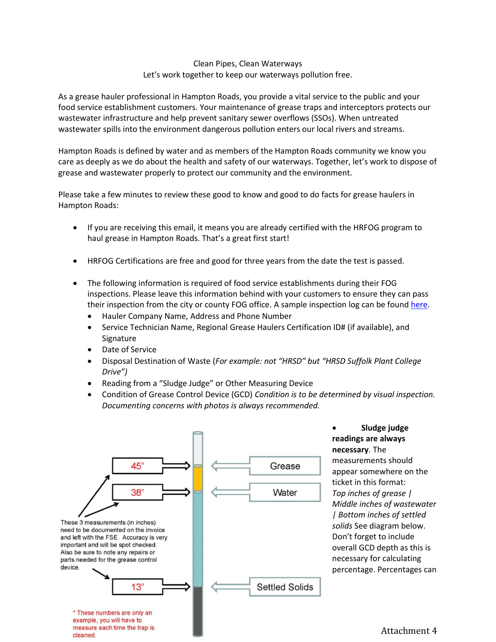## Clean Pipes, Clean Waterways Let's work together to keep our waterways pollution free.

As a grease hauler professional in Hampton Roads, you provide a vital service to the public and your food service establishment customers. Your maintenance of grease traps and interceptors protects our wastewater infrastructure and help prevent sanitary sewer overflows (SSOs). When untreated wastewater spills into the environment dangerous pollution enters our local rivers and streams.

Hampton Roads is defined by water and as members of the Hampton Roads community we know you care as deeply as we do about the health and safety of our waterways. Together, let's work to dispose of grease and wastewater properly to protect our community and the environment.

Please take a few minutes to review these good to know and good to do facts for grease haulers in Hampton Roads:

- If you are receiving this email, it means you are already certified with the HRFOG program to haul grease in Hampton Roads. That's a great first start!
- HRFOG Certifications are free and good for three years from the date the test is passed.
- The following information is required of food service establishments during their FOG inspections. Please leave this information behind with your customers to ensure they can pass their inspection from the city or county FOG office. A sample inspection log can be found [here.](http://hrfog.com/Content/EducationalMaterial/GCD_Maintenance_Log.pdf)
	- Hauler Company Name, Address and Phone Number
	- Service Technician Name, Regional Grease Haulers Certification ID# (if available), and Signature
	- Date of Service
	- Disposal Destination of Waste (*For example: not "HRSD" but "HRSD Suffolk Plant College Drive")*
	- Reading from a "Sludge Judge" or Other Measuring Device
	- Condition of Grease Control Device (GCD) *Condition is to be determined by visual inspection. Documenting concerns with photos is always recommended.*



 **Sludge judge readings are always necessary**. The measurements should appear somewhere on the ticket in this format: *Top inches of grease | Middle inches of wastewater | Bottom inches of settled solids* See diagram below. Don't forget to include overall GCD depth as this is necessary for calculating percentage. Percentages can